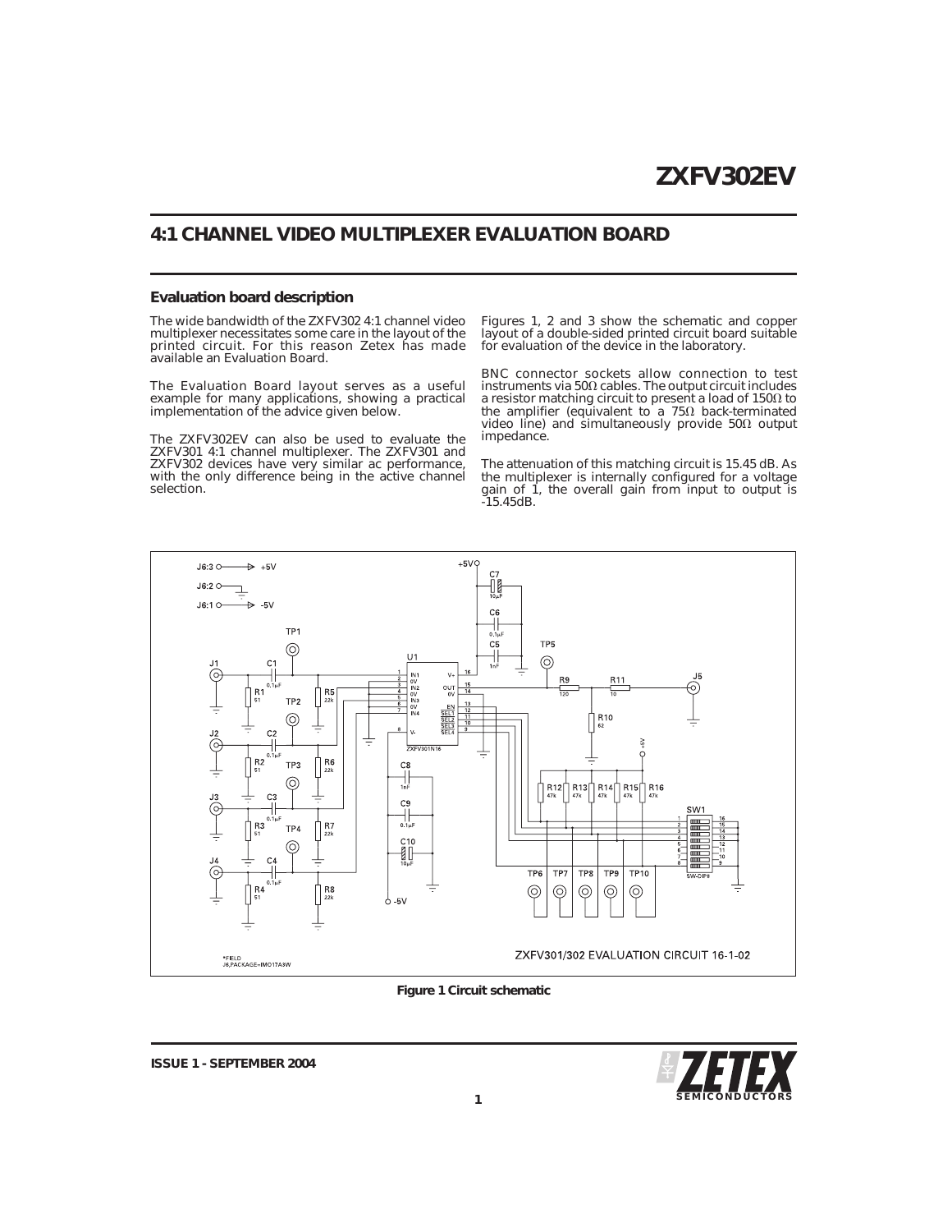# **4:1 CHANNEL VIDEO MULTIPLEXER EVALUATION BOARD**

### **Evaluation board description**

The wide bandwidth of the ZXFV302 4:1 channel video multiplexer necessitates some care in the layout of the printed circuit. For this reason Zetex has made available an Evaluation Board.

The Evaluation Board layout serves as a useful example for many applications, showing a practical implementation of the advice given below.

The ZXFV302EV can also be used to evaluate the ZXFV301 4:1 channel multiplexer. The ZXFV301 and ZXFV302 devices have very similar ac performance, with the only difference being in the active channel selection.

Figures 1, 2 and 3 show the schematic and copper layout of a double-sided printed circuit board suitable for evaluation of the device in the laboratory.

BNC connector sockets allow connection to test  $instructor$  instruments via  $50\Omega$  cables. The output circuit includes a resistor matching circuit to present a load of  $150\Omega$  to the amplifier (equivalent to a 75Ω back-terminated<br>video line) and simultaneously provide 50Ω output impedance.

The attenuation of this matching circuit is 15.45 dB. As the multiplexer is internally configured for a voltage gain of 1, the overall gain from input to output is -15.45dB.



### **Figure 1 Circuit schematic**



**ISSUE 1 - SEPTEMBER 2004**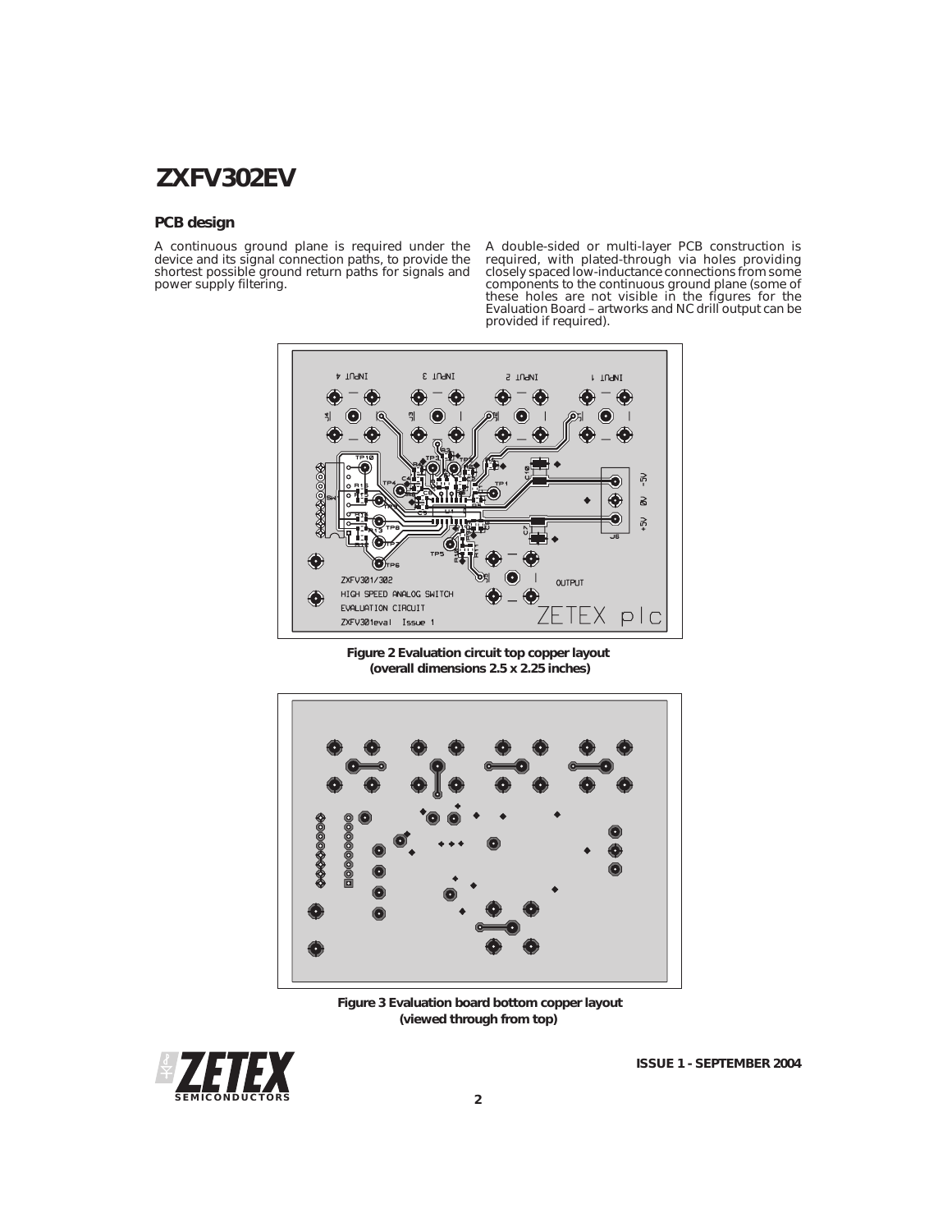# **ZXFV302EV**

# **PCB design**

A continuous ground plane is required under the device and its signal connection paths, to provide the shortest possible ground return paths for signals and power supply filtering.

A double-sided or multi-layer PCB construction is required, with plated-through via holes providing<br>closely spaced low-inductance connections from some<br>components to the continuous ground plane (some of<br>these holes are not visible in the figures for the<br>Evaluation Board –



**Figure 2 Evaluation circuit top copper layout (overall dimensions 2.5 x 2.25 inches)**



**Figure 3 Evaluation board bottom copper layout (viewed through from top)**



**ISSUE 1 - SEPTEMBER 2004**